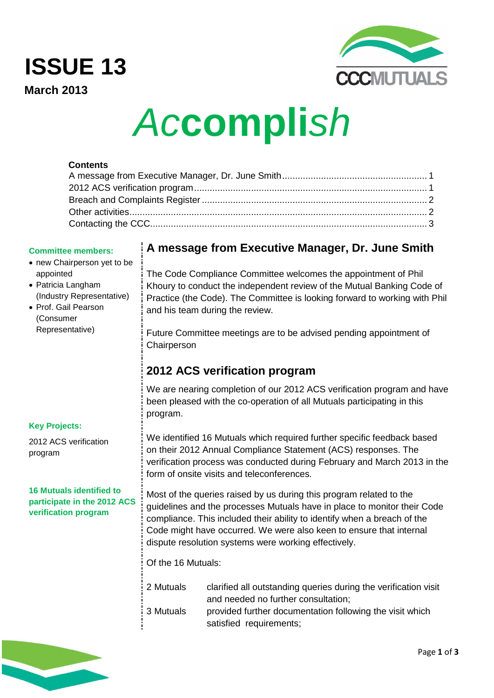# **ISSUE 13**

**March 2013**



# *Ac***compli***sh*

# **Contents**

#### **Committee members:**

- new Chairperson yet to be appointed
- Patricia Langham (Industry Representative)
- Prof. Gail Pearson (Consumer Representative)

# **Key Projects:**

2012 ACS verification program

**16 Mutuals identified to participate in the 2012 ACS verification program**

# <span id="page-0-0"></span>**A message from Executive Manager, Dr. June Smith**

The Code Compliance Committee welcomes the appointment of Phil Khoury to conduct the independent review of the Mutual Banking Code of Practice (the Code). The Committee is looking forward to working with Phil and his team during the review.

Future Committee meetings are to be advised pending appointment of **Chairperson** 

# <span id="page-0-1"></span>**2012 ACS verification program**

We are nearing completion of our 2012 ACS verification program and have been pleased with the co-operation of all Mutuals participating in this program.

We identified 16 Mutuals which required further specific feedback based on their 2012 Annual Compliance Statement (ACS) responses. The verification process was conducted during February and March 2013 in the form of onsite visits and teleconferences.

Most of the queries raised by us during this program related to the guidelines and the processes Mutuals have in place to monitor their Code compliance. This included their ability to identify when a breach of the Code might have occurred. We were also keen to ensure that internal dispute resolution systems were working effectively.

Of the 16 Mutuals:

2 Mutuals clarified all outstanding queries during the verification visit and needed no further consultation; 3 Mutuals provided further documentation following the visit which satisfied requirements;

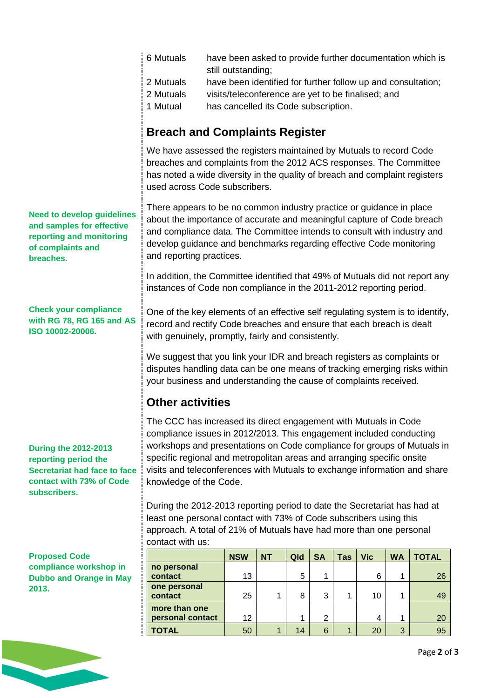<span id="page-1-0"></span>

|                                                                                                                                 | 6 Mutuals                                                                                                                                                                                                                                                                                                                                                                                           |                                                                                                                                                                                                                                                           |              |     |                |              |            |           | have been asked to provide further documentation which is |
|---------------------------------------------------------------------------------------------------------------------------------|-----------------------------------------------------------------------------------------------------------------------------------------------------------------------------------------------------------------------------------------------------------------------------------------------------------------------------------------------------------------------------------------------------|-----------------------------------------------------------------------------------------------------------------------------------------------------------------------------------------------------------------------------------------------------------|--------------|-----|----------------|--------------|------------|-----------|-----------------------------------------------------------|
|                                                                                                                                 | still outstanding;<br>2 Mutuals<br>have been identified for further follow up and consultation;                                                                                                                                                                                                                                                                                                     |                                                                                                                                                                                                                                                           |              |     |                |              |            |           |                                                           |
|                                                                                                                                 | 2 Mutuals                                                                                                                                                                                                                                                                                                                                                                                           | visits/teleconference are yet to be finalised; and                                                                                                                                                                                                        |              |     |                |              |            |           |                                                           |
|                                                                                                                                 | 1 Mutual                                                                                                                                                                                                                                                                                                                                                                                            | has cancelled its Code subscription.                                                                                                                                                                                                                      |              |     |                |              |            |           |                                                           |
|                                                                                                                                 | <b>Breach and Complaints Register</b>                                                                                                                                                                                                                                                                                                                                                               |                                                                                                                                                                                                                                                           |              |     |                |              |            |           |                                                           |
|                                                                                                                                 |                                                                                                                                                                                                                                                                                                                                                                                                     | We have assessed the registers maintained by Mutuals to record Code<br>breaches and complaints from the 2012 ACS responses. The Committee<br>has noted a wide diversity in the quality of breach and complaint registers<br>used across Code subscribers. |              |     |                |              |            |           |                                                           |
| <b>Need to develop guidelines</b><br>and samples for effective<br>reporting and monitoring<br>of complaints and<br>breaches.    | There appears to be no common industry practice or guidance in place<br>about the importance of accurate and meaningful capture of Code breach<br>and compliance data. The Committee intends to consult with industry and<br>develop guidance and benchmarks regarding effective Code monitoring<br>and reporting practices.                                                                        |                                                                                                                                                                                                                                                           |              |     |                |              |            |           |                                                           |
|                                                                                                                                 | In addition, the Committee identified that 49% of Mutuals did not report any<br>instances of Code non compliance in the 2011-2012 reporting period.                                                                                                                                                                                                                                                 |                                                                                                                                                                                                                                                           |              |     |                |              |            |           |                                                           |
| <b>Check your compliance</b><br>with RG 78, RG 165 and AS<br>ISO 10002-20006.                                                   | One of the key elements of an effective self regulating system is to identify,<br>record and rectify Code breaches and ensure that each breach is dealt<br>with genuinely, promptly, fairly and consistently.                                                                                                                                                                                       |                                                                                                                                                                                                                                                           |              |     |                |              |            |           |                                                           |
|                                                                                                                                 | We suggest that you link your IDR and breach registers as complaints or<br>disputes handling data can be one means of tracking emerging risks within<br>your business and understanding the cause of complaints received.                                                                                                                                                                           |                                                                                                                                                                                                                                                           |              |     |                |              |            |           |                                                           |
|                                                                                                                                 | <b>Other activities</b>                                                                                                                                                                                                                                                                                                                                                                             |                                                                                                                                                                                                                                                           |              |     |                |              |            |           |                                                           |
| <b>During the 2012-2013</b><br>reporting period the<br>Secretariat had face to face<br>contact with 73% of Code<br>subscribers. | The CCC has increased its direct engagement with Mutuals in Code<br>compliance issues in 2012/2013. This engagement included conducting<br>workshops and presentations on Code compliance for groups of Mutuals in<br>specific regional and metropolitan areas and arranging specific onsite<br>visits and teleconferences with Mutuals to exchange information and share<br>knowledge of the Code. |                                                                                                                                                                                                                                                           |              |     |                |              |            |           |                                                           |
|                                                                                                                                 | During the 2012-2013 reporting period to date the Secretariat has had at<br>least one personal contact with 73% of Code subscribers using this<br>approach. A total of 21% of Mutuals have had more than one personal<br>contact with us:                                                                                                                                                           |                                                                                                                                                                                                                                                           |              |     |                |              |            |           |                                                           |
| <b>Proposed Code</b>                                                                                                            |                                                                                                                                                                                                                                                                                                                                                                                                     | <b>NSW</b>                                                                                                                                                                                                                                                | <b>NT</b>    | Qld | <b>SA</b>      | <b>Tas</b>   | <b>Vic</b> | <b>WA</b> | <b>TOTAL</b>                                              |
| compliance workshop in<br><b>Dubbo and Orange in May</b>                                                                        | no personal<br>contact                                                                                                                                                                                                                                                                                                                                                                              | 13                                                                                                                                                                                                                                                        |              | 5   | 1              |              | 6          | 1         | 26                                                        |
| 2013.                                                                                                                           | one personal<br>contact                                                                                                                                                                                                                                                                                                                                                                             | 25                                                                                                                                                                                                                                                        | 1            | 8   | 3              | 1            | 10         | 1         | 49                                                        |
|                                                                                                                                 | more than one<br>personal contact                                                                                                                                                                                                                                                                                                                                                                   | 12                                                                                                                                                                                                                                                        |              | 1   | $\overline{2}$ |              | 4          | 1         | 20                                                        |
|                                                                                                                                 | <b>TOTAL</b>                                                                                                                                                                                                                                                                                                                                                                                        | 50                                                                                                                                                                                                                                                        | $\mathbf{1}$ | 14  | $6\phantom{a}$ | $\mathbf{1}$ | 20         | 3         | 95                                                        |

<span id="page-1-1"></span>

Page **2** of **3**